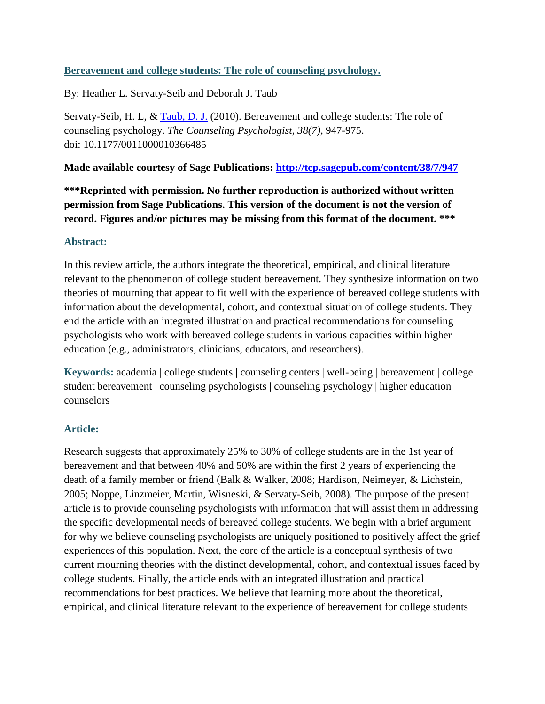# **Bereavement and college students: The role of counseling psychology.**

By: Heather L. Servaty-Seib and Deborah J. Taub

Servaty-Seib, H. L, & [Taub, D. J.](http://libres.uncg.edu/ir/uncg/clist.aspx?id=927) (2010). Bereavement and college students: The role of counseling psychology. *The Counseling Psychologist, 38(7),* 947-975. doi: 10.1177/0011000010366485

## **Made available courtesy of Sage Publications:<http://tcp.sagepub.com/content/38/7/947>**

**\*\*\*Reprinted with permission. No further reproduction is authorized without written permission from Sage Publications. This version of the document is not the version of record. Figures and/or pictures may be missing from this format of the document. \*\*\***

## **Abstract:**

In this review article, the authors integrate the theoretical, empirical, and clinical literature relevant to the phenomenon of college student bereavement. They synthesize information on two theories of mourning that appear to fit well with the experience of bereaved college students with information about the developmental, cohort, and contextual situation of college students. They end the article with an integrated illustration and practical recommendations for counseling psychologists who work with bereaved college students in various capacities within higher education (e.g., administrators, clinicians, educators, and researchers).

**Keywords:** academia | college students | counseling centers | well-being | bereavement | college student bereavement | counseling psychologists | counseling psychology | higher education counselors

## **Article:**

Research suggests that approximately 25% to 30% of college students are in the 1st year of bereavement and that between 40% and 50% are within the first 2 years of experiencing the death of a family member or friend (Balk & Walker, 2008; Hardison, Neimeyer, & Lichstein, 2005; Noppe, Linzmeier, Martin, Wisneski, & Servaty-Seib, 2008). The purpose of the present article is to provide counseling psychologists with information that will assist them in addressing the specific developmental needs of bereaved college students. We begin with a brief argument for why we believe counseling psychologists are uniquely positioned to positively affect the grief experiences of this population. Next, the core of the article is a conceptual synthesis of two current mourning theories with the distinct developmental, cohort, and contextual issues faced by college students. Finally, the article ends with an integrated illustration and practical recommendations for best practices. We believe that learning more about the theoretical, empirical, and clinical literature relevant to the experience of bereavement for college students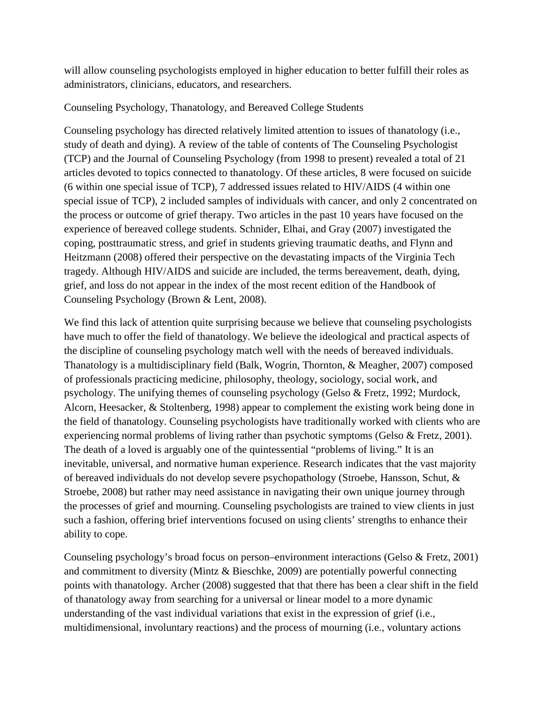will allow counseling psychologists employed in higher education to better fulfill their roles as administrators, clinicians, educators, and researchers.

Counseling Psychology, Thanatology, and Bereaved College Students

Counseling psychology has directed relatively limited attention to issues of thanatology (i.e., study of death and dying). A review of the table of contents of The Counseling Psychologist (TCP) and the Journal of Counseling Psychology (from 1998 to present) revealed a total of 21 articles devoted to topics connected to thanatology. Of these articles, 8 were focused on suicide (6 within one special issue of TCP), 7 addressed issues related to HIV/AIDS (4 within one special issue of TCP), 2 included samples of individuals with cancer, and only 2 concentrated on the process or outcome of grief therapy. Two articles in the past 10 years have focused on the experience of bereaved college students. Schnider, Elhai, and Gray (2007) investigated the coping, posttraumatic stress, and grief in students grieving traumatic deaths, and Flynn and Heitzmann (2008) offered their perspective on the devastating impacts of the Virginia Tech tragedy. Although HIV/AIDS and suicide are included, the terms bereavement, death, dying, grief, and loss do not appear in the index of the most recent edition of the Handbook of Counseling Psychology (Brown & Lent, 2008).

We find this lack of attention quite surprising because we believe that counseling psychologists have much to offer the field of thanatology. We believe the ideological and practical aspects of the discipline of counseling psychology match well with the needs of bereaved individuals. Thanatology is a multidisciplinary field (Balk, Wogrin, Thornton, & Meagher, 2007) composed of professionals practicing medicine, philosophy, theology, sociology, social work, and psychology. The unifying themes of counseling psychology (Gelso & Fretz, 1992; Murdock, Alcorn, Heesacker, & Stoltenberg, 1998) appear to complement the existing work being done in the field of thanatology. Counseling psychologists have traditionally worked with clients who are experiencing normal problems of living rather than psychotic symptoms (Gelso & Fretz, 2001). The death of a loved is arguably one of the quintessential "problems of living." It is an inevitable, universal, and normative human experience. Research indicates that the vast majority of bereaved individuals do not develop severe psychopathology (Stroebe, Hansson, Schut, & Stroebe, 2008) but rather may need assistance in navigating their own unique journey through the processes of grief and mourning. Counseling psychologists are trained to view clients in just such a fashion, offering brief interventions focused on using clients' strengths to enhance their ability to cope.

Counseling psychology's broad focus on person–environment interactions (Gelso & Fretz, 2001) and commitment to diversity (Mintz & Bieschke, 2009) are potentially powerful connecting points with thanatology. Archer (2008) suggested that that there has been a clear shift in the field of thanatology away from searching for a universal or linear model to a more dynamic understanding of the vast individual variations that exist in the expression of grief (i.e., multidimensional, involuntary reactions) and the process of mourning (i.e., voluntary actions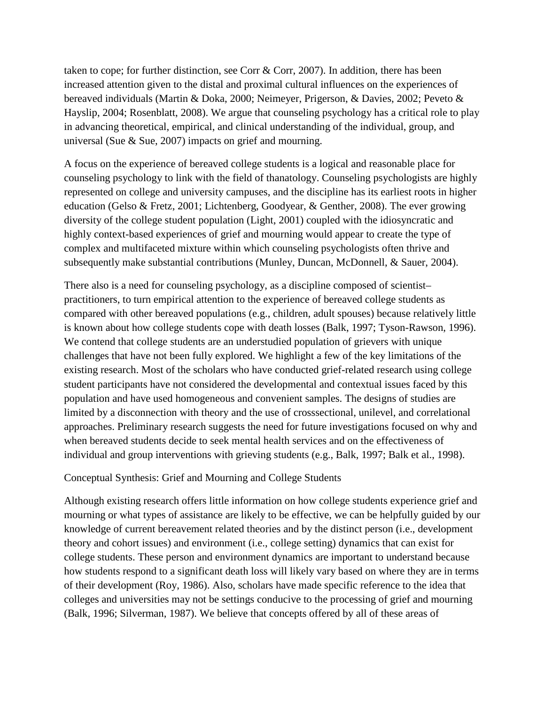taken to cope; for further distinction, see Corr & Corr, 2007). In addition, there has been increased attention given to the distal and proximal cultural influences on the experiences of bereaved individuals (Martin & Doka, 2000; Neimeyer, Prigerson, & Davies, 2002; Peveto & Hayslip, 2004; Rosenblatt, 2008). We argue that counseling psychology has a critical role to play in advancing theoretical, empirical, and clinical understanding of the individual, group, and universal (Sue & Sue, 2007) impacts on grief and mourning.

A focus on the experience of bereaved college students is a logical and reasonable place for counseling psychology to link with the field of thanatology. Counseling psychologists are highly represented on college and university campuses, and the discipline has its earliest roots in higher education (Gelso & Fretz, 2001; Lichtenberg, Goodyear, & Genther, 2008). The ever growing diversity of the college student population (Light, 2001) coupled with the idiosyncratic and highly context-based experiences of grief and mourning would appear to create the type of complex and multifaceted mixture within which counseling psychologists often thrive and subsequently make substantial contributions (Munley, Duncan, McDonnell, & Sauer, 2004).

There also is a need for counseling psychology, as a discipline composed of scientist– practitioners, to turn empirical attention to the experience of bereaved college students as compared with other bereaved populations (e.g., children, adult spouses) because relatively little is known about how college students cope with death losses (Balk, 1997; Tyson-Rawson, 1996). We contend that college students are an understudied population of grievers with unique challenges that have not been fully explored. We highlight a few of the key limitations of the existing research. Most of the scholars who have conducted grief-related research using college student participants have not considered the developmental and contextual issues faced by this population and have used homogeneous and convenient samples. The designs of studies are limited by a disconnection with theory and the use of crosssectional, unilevel, and correlational approaches. Preliminary research suggests the need for future investigations focused on why and when bereaved students decide to seek mental health services and on the effectiveness of individual and group interventions with grieving students (e.g., Balk, 1997; Balk et al., 1998).

#### Conceptual Synthesis: Grief and Mourning and College Students

Although existing research offers little information on how college students experience grief and mourning or what types of assistance are likely to be effective, we can be helpfully guided by our knowledge of current bereavement related theories and by the distinct person (i.e., development theory and cohort issues) and environment (i.e., college setting) dynamics that can exist for college students. These person and environment dynamics are important to understand because how students respond to a significant death loss will likely vary based on where they are in terms of their development (Roy, 1986). Also, scholars have made specific reference to the idea that colleges and universities may not be settings conducive to the processing of grief and mourning (Balk, 1996; Silverman, 1987). We believe that concepts offered by all of these areas of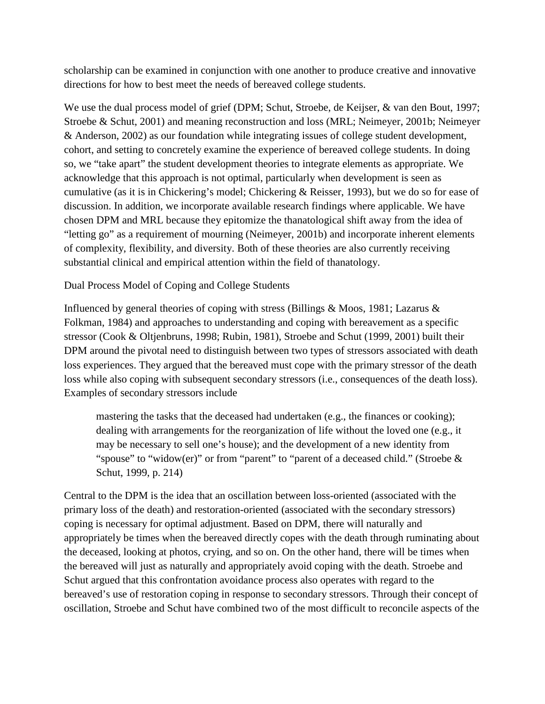scholarship can be examined in conjunction with one another to produce creative and innovative directions for how to best meet the needs of bereaved college students.

We use the dual process model of grief (DPM; Schut, Stroebe, de Keijser, & van den Bout, 1997; Stroebe & Schut, 2001) and meaning reconstruction and loss (MRL; Neimeyer, 2001b; Neimeyer & Anderson, 2002) as our foundation while integrating issues of college student development, cohort, and setting to concretely examine the experience of bereaved college students. In doing so, we "take apart" the student development theories to integrate elements as appropriate. We acknowledge that this approach is not optimal, particularly when development is seen as cumulative (as it is in Chickering's model; Chickering & Reisser, 1993), but we do so for ease of discussion. In addition, we incorporate available research findings where applicable. We have chosen DPM and MRL because they epitomize the thanatological shift away from the idea of "letting go" as a requirement of mourning (Neimeyer, 2001b) and incorporate inherent elements of complexity, flexibility, and diversity. Both of these theories are also currently receiving substantial clinical and empirical attention within the field of thanatology.

## Dual Process Model of Coping and College Students

Influenced by general theories of coping with stress (Billings & Moos, 1981; Lazarus & Folkman, 1984) and approaches to understanding and coping with bereavement as a specific stressor (Cook & Oltjenbruns, 1998; Rubin, 1981), Stroebe and Schut (1999, 2001) built their DPM around the pivotal need to distinguish between two types of stressors associated with death loss experiences. They argued that the bereaved must cope with the primary stressor of the death loss while also coping with subsequent secondary stressors (i.e., consequences of the death loss). Examples of secondary stressors include

mastering the tasks that the deceased had undertaken (e.g., the finances or cooking); dealing with arrangements for the reorganization of life without the loved one (e.g., it may be necessary to sell one's house); and the development of a new identity from "spouse" to "widow(er)" or from "parent" to "parent of a deceased child." (Stroebe & Schut, 1999, p. 214)

Central to the DPM is the idea that an oscillation between loss-oriented (associated with the primary loss of the death) and restoration-oriented (associated with the secondary stressors) coping is necessary for optimal adjustment. Based on DPM, there will naturally and appropriately be times when the bereaved directly copes with the death through ruminating about the deceased, looking at photos, crying, and so on. On the other hand, there will be times when the bereaved will just as naturally and appropriately avoid coping with the death. Stroebe and Schut argued that this confrontation avoidance process also operates with regard to the bereaved's use of restoration coping in response to secondary stressors. Through their concept of oscillation, Stroebe and Schut have combined two of the most difficult to reconcile aspects of the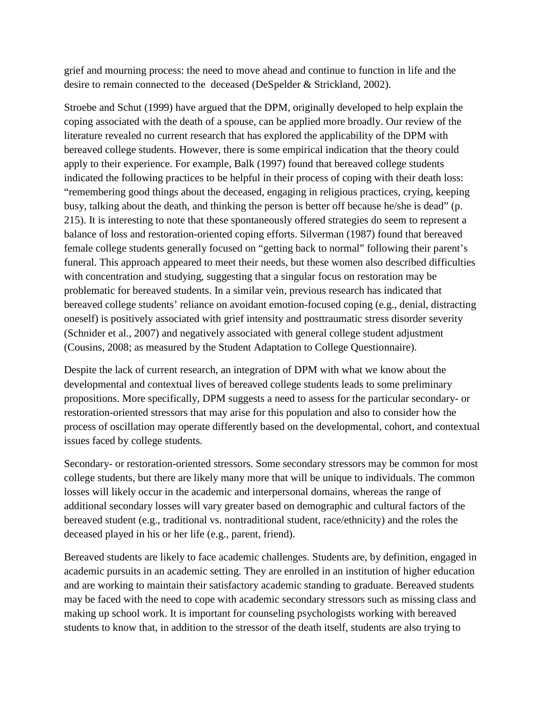grief and mourning process: the need to move ahead and continue to function in life and the desire to remain connected to the deceased (DeSpelder & Strickland, 2002).

Stroebe and Schut (1999) have argued that the DPM, originally developed to help explain the coping associated with the death of a spouse, can be applied more broadly. Our review of the literature revealed no current research that has explored the applicability of the DPM with bereaved college students. However, there is some empirical indication that the theory could apply to their experience. For example, Balk (1997) found that bereaved college students indicated the following practices to be helpful in their process of coping with their death loss: "remembering good things about the deceased, engaging in religious practices, crying, keeping busy, talking about the death, and thinking the person is better off because he/she is dead" (p. 215). It is interesting to note that these spontaneously offered strategies do seem to represent a balance of loss and restoration-oriented coping efforts. Silverman (1987) found that bereaved female college students generally focused on "getting back to normal" following their parent's funeral. This approach appeared to meet their needs, but these women also described difficulties with concentration and studying, suggesting that a singular focus on restoration may be problematic for bereaved students. In a similar vein, previous research has indicated that bereaved college students' reliance on avoidant emotion-focused coping (e.g., denial, distracting oneself) is positively associated with grief intensity and posttraumatic stress disorder severity (Schnider et al., 2007) and negatively associated with general college student adjustment (Cousins, 2008; as measured by the Student Adaptation to College Questionnaire).

Despite the lack of current research, an integration of DPM with what we know about the developmental and contextual lives of bereaved college students leads to some preliminary propositions. More specifically, DPM suggests a need to assess for the particular secondary- or restoration-oriented stressors that may arise for this population and also to consider how the process of oscillation may operate differently based on the developmental, cohort, and contextual issues faced by college students.

Secondary- or restoration-oriented stressors. Some secondary stressors may be common for most college students, but there are likely many more that will be unique to individuals. The common losses will likely occur in the academic and interpersonal domains, whereas the range of additional secondary losses will vary greater based on demographic and cultural factors of the bereaved student (e.g., traditional vs. nontraditional student, race/ethnicity) and the roles the deceased played in his or her life (e.g., parent, friend).

Bereaved students are likely to face academic challenges. Students are, by definition, engaged in academic pursuits in an academic setting. They are enrolled in an institution of higher education and are working to maintain their satisfactory academic standing to graduate. Bereaved students may be faced with the need to cope with academic secondary stressors such as missing class and making up school work. It is important for counseling psychologists working with bereaved students to know that, in addition to the stressor of the death itself, students are also trying to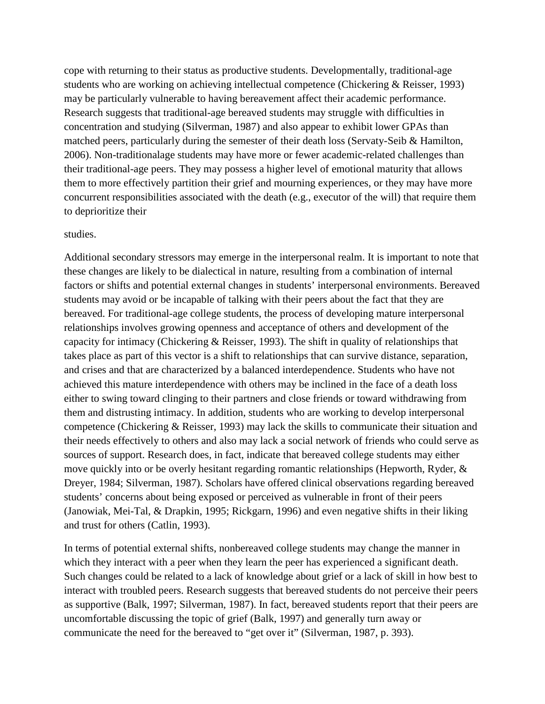cope with returning to their status as productive students. Developmentally, traditional-age students who are working on achieving intellectual competence (Chickering & Reisser, 1993) may be particularly vulnerable to having bereavement affect their academic performance. Research suggests that traditional-age bereaved students may struggle with difficulties in concentration and studying (Silverman, 1987) and also appear to exhibit lower GPAs than matched peers, particularly during the semester of their death loss (Servaty-Seib & Hamilton, 2006). Non-traditionalage students may have more or fewer academic-related challenges than their traditional-age peers. They may possess a higher level of emotional maturity that allows them to more effectively partition their grief and mourning experiences, or they may have more concurrent responsibilities associated with the death (e.g., executor of the will) that require them to deprioritize their

#### studies.

Additional secondary stressors may emerge in the interpersonal realm. It is important to note that these changes are likely to be dialectical in nature, resulting from a combination of internal factors or shifts and potential external changes in students' interpersonal environments. Bereaved students may avoid or be incapable of talking with their peers about the fact that they are bereaved. For traditional-age college students, the process of developing mature interpersonal relationships involves growing openness and acceptance of others and development of the capacity for intimacy (Chickering & Reisser, 1993). The shift in quality of relationships that takes place as part of this vector is a shift to relationships that can survive distance, separation, and crises and that are characterized by a balanced interdependence. Students who have not achieved this mature interdependence with others may be inclined in the face of a death loss either to swing toward clinging to their partners and close friends or toward withdrawing from them and distrusting intimacy. In addition, students who are working to develop interpersonal competence (Chickering & Reisser, 1993) may lack the skills to communicate their situation and their needs effectively to others and also may lack a social network of friends who could serve as sources of support. Research does, in fact, indicate that bereaved college students may either move quickly into or be overly hesitant regarding romantic relationships (Hepworth, Ryder, & Dreyer, 1984; Silverman, 1987). Scholars have offered clinical observations regarding bereaved students' concerns about being exposed or perceived as vulnerable in front of their peers (Janowiak, Mei-Tal, & Drapkin, 1995; Rickgarn, 1996) and even negative shifts in their liking and trust for others (Catlin, 1993).

In terms of potential external shifts, nonbereaved college students may change the manner in which they interact with a peer when they learn the peer has experienced a significant death. Such changes could be related to a lack of knowledge about grief or a lack of skill in how best to interact with troubled peers. Research suggests that bereaved students do not perceive their peers as supportive (Balk, 1997; Silverman, 1987). In fact, bereaved students report that their peers are uncomfortable discussing the topic of grief (Balk, 1997) and generally turn away or communicate the need for the bereaved to "get over it" (Silverman, 1987, p. 393).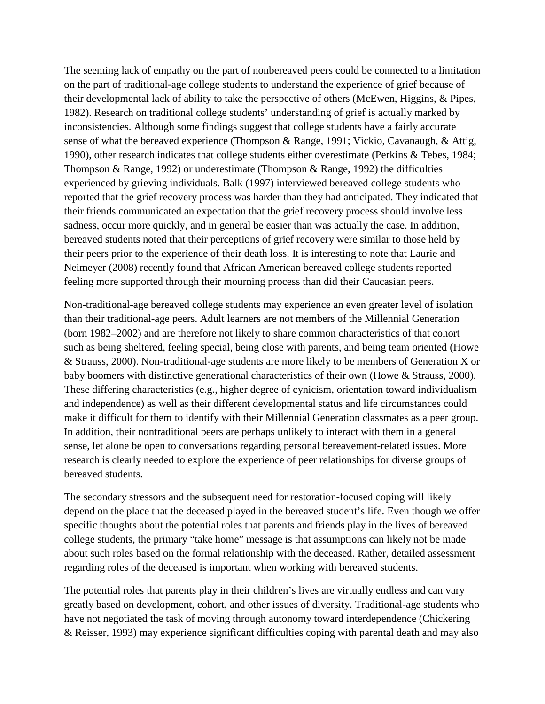The seeming lack of empathy on the part of nonbereaved peers could be connected to a limitation on the part of traditional-age college students to understand the experience of grief because of their developmental lack of ability to take the perspective of others (McEwen, Higgins, & Pipes, 1982). Research on traditional college students' understanding of grief is actually marked by inconsistencies. Although some findings suggest that college students have a fairly accurate sense of what the bereaved experience (Thompson & Range, 1991; Vickio, Cavanaugh, & Attig, 1990), other research indicates that college students either overestimate (Perkins & Tebes, 1984; Thompson & Range, 1992) or underestimate (Thompson & Range, 1992) the difficulties experienced by grieving individuals. Balk (1997) interviewed bereaved college students who reported that the grief recovery process was harder than they had anticipated. They indicated that their friends communicated an expectation that the grief recovery process should involve less sadness, occur more quickly, and in general be easier than was actually the case. In addition, bereaved students noted that their perceptions of grief recovery were similar to those held by their peers prior to the experience of their death loss. It is interesting to note that Laurie and Neimeyer (2008) recently found that African American bereaved college students reported feeling more supported through their mourning process than did their Caucasian peers.

Non-traditional-age bereaved college students may experience an even greater level of isolation than their traditional-age peers. Adult learners are not members of the Millennial Generation (born 1982–2002) and are therefore not likely to share common characteristics of that cohort such as being sheltered, feeling special, being close with parents, and being team oriented (Howe & Strauss, 2000). Non-traditional-age students are more likely to be members of Generation X or baby boomers with distinctive generational characteristics of their own (Howe & Strauss, 2000). These differing characteristics (e.g., higher degree of cynicism, orientation toward individualism and independence) as well as their different developmental status and life circumstances could make it difficult for them to identify with their Millennial Generation classmates as a peer group. In addition, their nontraditional peers are perhaps unlikely to interact with them in a general sense, let alone be open to conversations regarding personal bereavement-related issues. More research is clearly needed to explore the experience of peer relationships for diverse groups of bereaved students.

The secondary stressors and the subsequent need for restoration-focused coping will likely depend on the place that the deceased played in the bereaved student's life. Even though we offer specific thoughts about the potential roles that parents and friends play in the lives of bereaved college students, the primary "take home" message is that assumptions can likely not be made about such roles based on the formal relationship with the deceased. Rather, detailed assessment regarding roles of the deceased is important when working with bereaved students.

The potential roles that parents play in their children's lives are virtually endless and can vary greatly based on development, cohort, and other issues of diversity. Traditional-age students who have not negotiated the task of moving through autonomy toward interdependence (Chickering & Reisser, 1993) may experience significant difficulties coping with parental death and may also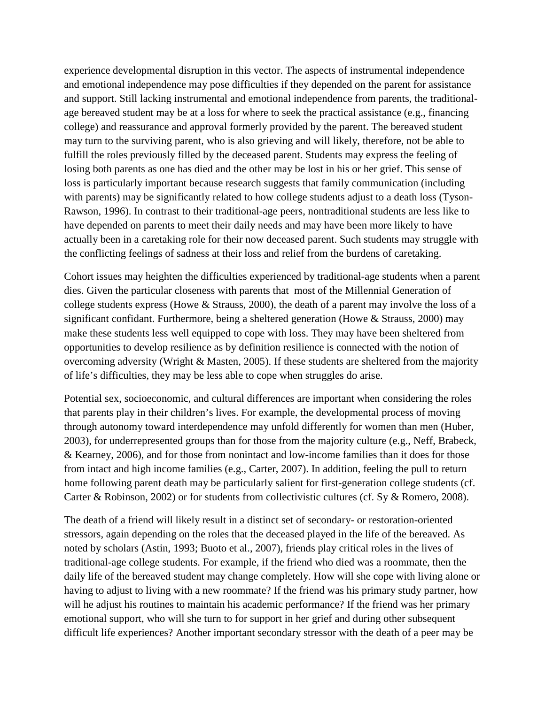experience developmental disruption in this vector. The aspects of instrumental independence and emotional independence may pose difficulties if they depended on the parent for assistance and support. Still lacking instrumental and emotional independence from parents, the traditionalage bereaved student may be at a loss for where to seek the practical assistance (e.g., financing college) and reassurance and approval formerly provided by the parent. The bereaved student may turn to the surviving parent, who is also grieving and will likely, therefore, not be able to fulfill the roles previously filled by the deceased parent. Students may express the feeling of losing both parents as one has died and the other may be lost in his or her grief. This sense of loss is particularly important because research suggests that family communication (including with parents) may be significantly related to how college students adjust to a death loss (Tyson-Rawson, 1996). In contrast to their traditional-age peers, nontraditional students are less like to have depended on parents to meet their daily needs and may have been more likely to have actually been in a caretaking role for their now deceased parent. Such students may struggle with the conflicting feelings of sadness at their loss and relief from the burdens of caretaking.

Cohort issues may heighten the difficulties experienced by traditional-age students when a parent dies. Given the particular closeness with parents that most of the Millennial Generation of college students express (Howe & Strauss, 2000), the death of a parent may involve the loss of a significant confidant. Furthermore, being a sheltered generation (Howe & Strauss, 2000) may make these students less well equipped to cope with loss. They may have been sheltered from opportunities to develop resilience as by definition resilience is connected with the notion of overcoming adversity (Wright & Masten, 2005). If these students are sheltered from the majority of life's difficulties, they may be less able to cope when struggles do arise.

Potential sex, socioeconomic, and cultural differences are important when considering the roles that parents play in their children's lives. For example, the developmental process of moving through autonomy toward interdependence may unfold differently for women than men (Huber, 2003), for underrepresented groups than for those from the majority culture (e.g., Neff, Brabeck, & Kearney, 2006), and for those from nonintact and low-income families than it does for those from intact and high income families (e.g., Carter, 2007). In addition, feeling the pull to return home following parent death may be particularly salient for first-generation college students (cf. Carter & Robinson, 2002) or for students from collectivistic cultures (cf. Sy & Romero, 2008).

The death of a friend will likely result in a distinct set of secondary- or restoration-oriented stressors, again depending on the roles that the deceased played in the life of the bereaved. As noted by scholars (Astin, 1993; Buoto et al., 2007), friends play critical roles in the lives of traditional-age college students. For example, if the friend who died was a roommate, then the daily life of the bereaved student may change completely. How will she cope with living alone or having to adjust to living with a new roommate? If the friend was his primary study partner, how will he adjust his routines to maintain his academic performance? If the friend was her primary emotional support, who will she turn to for support in her grief and during other subsequent difficult life experiences? Another important secondary stressor with the death of a peer may be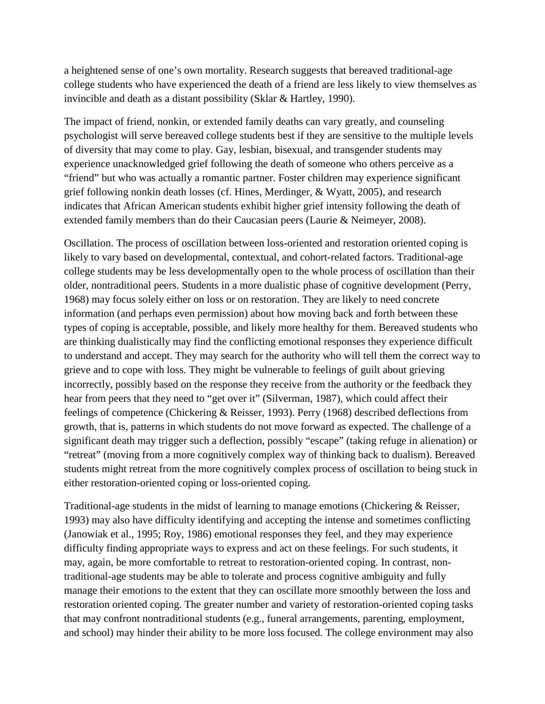a heightened sense of one's own mortality. Research suggests that bereaved traditional-age college students who have experienced the death of a friend are less likely to view themselves as invincible and death as a distant possibility (Sklar & Hartley, 1990).

The impact of friend, nonkin, or extended family deaths can vary greatly, and counseling psychologist will serve bereaved college students best if they are sensitive to the multiple levels of diversity that may come to play. Gay, lesbian, bisexual, and transgender students may experience unacknowledged grief following the death of someone who others perceive as a "friend" but who was actually a romantic partner. Foster children may experience significant grief following nonkin death losses (cf. Hines, Merdinger, & Wyatt, 2005), and research indicates that African American students exhibit higher grief intensity following the death of extended family members than do their Caucasian peers (Laurie & Neimeyer, 2008).

Oscillation. The process of oscillation between loss-oriented and restoration oriented coping is likely to vary based on developmental, contextual, and cohort-related factors. Traditional-age college students may be less developmentally open to the whole process of oscillation than their older, nontraditional peers. Students in a more dualistic phase of cognitive development (Perry, 1968) may focus solely either on loss or on restoration. They are likely to need concrete information (and perhaps even permission) about how moving back and forth between these types of coping is acceptable, possible, and likely more healthy for them. Bereaved students who are thinking dualistically may find the conflicting emotional responses they experience difficult to understand and accept. They may search for the authority who will tell them the correct way to grieve and to cope with loss. They might be vulnerable to feelings of guilt about grieving incorrectly, possibly based on the response they receive from the authority or the feedback they hear from peers that they need to "get over it" (Silverman, 1987), which could affect their feelings of competence (Chickering & Reisser, 1993). Perry (1968) described deflections from growth, that is, patterns in which students do not move forward as expected. The challenge of a significant death may trigger such a deflection, possibly "escape" (taking refuge in alienation) or "retreat" (moving from a more cognitively complex way of thinking back to dualism). Bereaved students might retreat from the more cognitively complex process of oscillation to being stuck in either restoration-oriented coping or loss-oriented coping.

Traditional-age students in the midst of learning to manage emotions (Chickering & Reisser, 1993) may also have difficulty identifying and accepting the intense and sometimes conflicting (Janowiak et al., 1995; Roy, 1986) emotional responses they feel, and they may experience difficulty finding appropriate ways to express and act on these feelings. For such students, it may, again, be more comfortable to retreat to restoration-oriented coping. In contrast, nontraditional-age students may be able to tolerate and process cognitive ambiguity and fully manage their emotions to the extent that they can oscillate more smoothly between the loss and restoration oriented coping. The greater number and variety of restoration-oriented coping tasks that may confront nontraditional students (e.g., funeral arrangements, parenting, employment, and school) may hinder their ability to be more loss focused. The college environment may also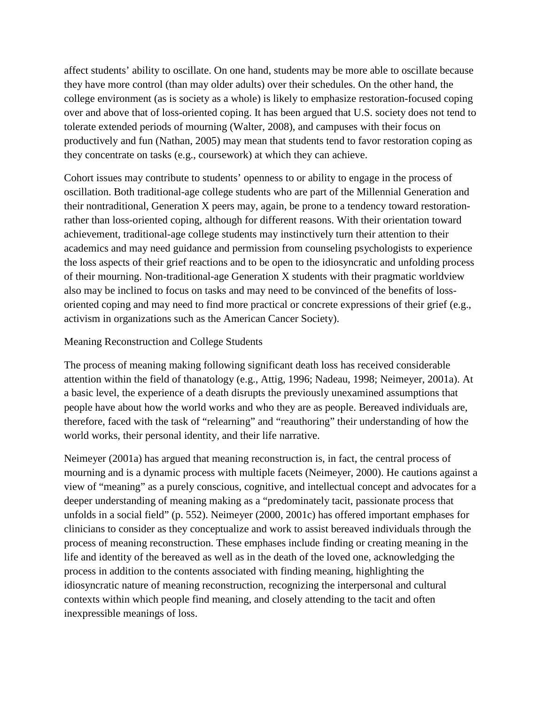affect students' ability to oscillate. On one hand, students may be more able to oscillate because they have more control (than may older adults) over their schedules. On the other hand, the college environment (as is society as a whole) is likely to emphasize restoration-focused coping over and above that of loss-oriented coping. It has been argued that U.S. society does not tend to tolerate extended periods of mourning (Walter, 2008), and campuses with their focus on productively and fun (Nathan, 2005) may mean that students tend to favor restoration coping as they concentrate on tasks (e.g., coursework) at which they can achieve.

Cohort issues may contribute to students' openness to or ability to engage in the process of oscillation. Both traditional-age college students who are part of the Millennial Generation and their nontraditional, Generation X peers may, again, be prone to a tendency toward restorationrather than loss-oriented coping, although for different reasons. With their orientation toward achievement, traditional-age college students may instinctively turn their attention to their academics and may need guidance and permission from counseling psychologists to experience the loss aspects of their grief reactions and to be open to the idiosyncratic and unfolding process of their mourning. Non-traditional-age Generation X students with their pragmatic worldview also may be inclined to focus on tasks and may need to be convinced of the benefits of lossoriented coping and may need to find more practical or concrete expressions of their grief (e.g., activism in organizations such as the American Cancer Society).

## Meaning Reconstruction and College Students

The process of meaning making following significant death loss has received considerable attention within the field of thanatology (e.g., Attig, 1996; Nadeau, 1998; Neimeyer, 2001a). At a basic level, the experience of a death disrupts the previously unexamined assumptions that people have about how the world works and who they are as people. Bereaved individuals are, therefore, faced with the task of "relearning" and "reauthoring" their understanding of how the world works, their personal identity, and their life narrative.

Neimeyer (2001a) has argued that meaning reconstruction is, in fact, the central process of mourning and is a dynamic process with multiple facets (Neimeyer, 2000). He cautions against a view of "meaning" as a purely conscious, cognitive, and intellectual concept and advocates for a deeper understanding of meaning making as a "predominately tacit, passionate process that unfolds in a social field" (p. 552). Neimeyer (2000, 2001c) has offered important emphases for clinicians to consider as they conceptualize and work to assist bereaved individuals through the process of meaning reconstruction. These emphases include finding or creating meaning in the life and identity of the bereaved as well as in the death of the loved one, acknowledging the process in addition to the contents associated with finding meaning, highlighting the idiosyncratic nature of meaning reconstruction, recognizing the interpersonal and cultural contexts within which people find meaning, and closely attending to the tacit and often inexpressible meanings of loss.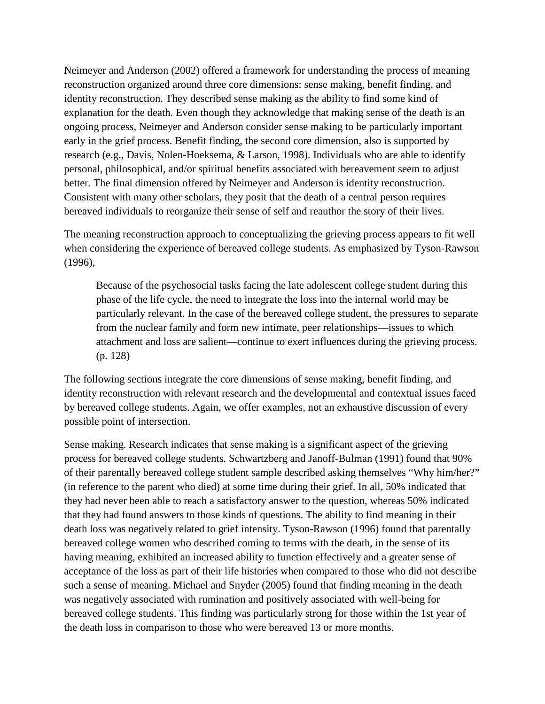Neimeyer and Anderson (2002) offered a framework for understanding the process of meaning reconstruction organized around three core dimensions: sense making, benefit finding, and identity reconstruction. They described sense making as the ability to find some kind of explanation for the death. Even though they acknowledge that making sense of the death is an ongoing process, Neimeyer and Anderson consider sense making to be particularly important early in the grief process. Benefit finding, the second core dimension, also is supported by research (e.g., Davis, Nolen-Hoeksema, & Larson, 1998). Individuals who are able to identify personal, philosophical, and/or spiritual benefits associated with bereavement seem to adjust better. The final dimension offered by Neimeyer and Anderson is identity reconstruction. Consistent with many other scholars, they posit that the death of a central person requires bereaved individuals to reorganize their sense of self and reauthor the story of their lives.

The meaning reconstruction approach to conceptualizing the grieving process appears to fit well when considering the experience of bereaved college students. As emphasized by Tyson-Rawson (1996),

Because of the psychosocial tasks facing the late adolescent college student during this phase of the life cycle, the need to integrate the loss into the internal world may be particularly relevant. In the case of the bereaved college student, the pressures to separate from the nuclear family and form new intimate, peer relationships—issues to which attachment and loss are salient—continue to exert influences during the grieving process. (p. 128)

The following sections integrate the core dimensions of sense making, benefit finding, and identity reconstruction with relevant research and the developmental and contextual issues faced by bereaved college students. Again, we offer examples, not an exhaustive discussion of every possible point of intersection.

Sense making. Research indicates that sense making is a significant aspect of the grieving process for bereaved college students. Schwartzberg and Janoff-Bulman (1991) found that 90% of their parentally bereaved college student sample described asking themselves "Why him/her?" (in reference to the parent who died) at some time during their grief. In all, 50% indicated that they had never been able to reach a satisfactory answer to the question, whereas 50% indicated that they had found answers to those kinds of questions. The ability to find meaning in their death loss was negatively related to grief intensity. Tyson-Rawson (1996) found that parentally bereaved college women who described coming to terms with the death, in the sense of its having meaning, exhibited an increased ability to function effectively and a greater sense of acceptance of the loss as part of their life histories when compared to those who did not describe such a sense of meaning. Michael and Snyder (2005) found that finding meaning in the death was negatively associated with rumination and positively associated with well-being for bereaved college students. This finding was particularly strong for those within the 1st year of the death loss in comparison to those who were bereaved 13 or more months.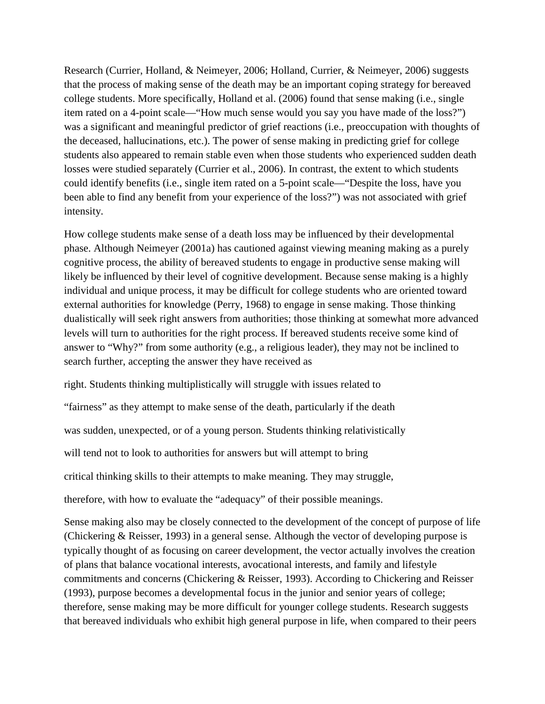Research (Currier, Holland, & Neimeyer, 2006; Holland, Currier, & Neimeyer, 2006) suggests that the process of making sense of the death may be an important coping strategy for bereaved college students. More specifically, Holland et al. (2006) found that sense making (i.e., single item rated on a 4-point scale—"How much sense would you say you have made of the loss?") was a significant and meaningful predictor of grief reactions (i.e., preoccupation with thoughts of the deceased, hallucinations, etc.). The power of sense making in predicting grief for college students also appeared to remain stable even when those students who experienced sudden death losses were studied separately (Currier et al., 2006). In contrast, the extent to which students could identify benefits (i.e., single item rated on a 5-point scale—"Despite the loss, have you been able to find any benefit from your experience of the loss?") was not associated with grief intensity.

How college students make sense of a death loss may be influenced by their developmental phase. Although Neimeyer (2001a) has cautioned against viewing meaning making as a purely cognitive process, the ability of bereaved students to engage in productive sense making will likely be influenced by their level of cognitive development. Because sense making is a highly individual and unique process, it may be difficult for college students who are oriented toward external authorities for knowledge (Perry, 1968) to engage in sense making. Those thinking dualistically will seek right answers from authorities; those thinking at somewhat more advanced levels will turn to authorities for the right process. If bereaved students receive some kind of answer to "Why?" from some authority (e.g., a religious leader), they may not be inclined to search further, accepting the answer they have received as

right. Students thinking multiplistically will struggle with issues related to

"fairness" as they attempt to make sense of the death, particularly if the death

was sudden, unexpected, or of a young person. Students thinking relativistically

will tend not to look to authorities for answers but will attempt to bring

critical thinking skills to their attempts to make meaning. They may struggle,

therefore, with how to evaluate the "adequacy" of their possible meanings.

Sense making also may be closely connected to the development of the concept of purpose of life (Chickering & Reisser, 1993) in a general sense. Although the vector of developing purpose is typically thought of as focusing on career development, the vector actually involves the creation of plans that balance vocational interests, avocational interests, and family and lifestyle commitments and concerns (Chickering & Reisser, 1993). According to Chickering and Reisser (1993), purpose becomes a developmental focus in the junior and senior years of college; therefore, sense making may be more difficult for younger college students. Research suggests that bereaved individuals who exhibit high general purpose in life, when compared to their peers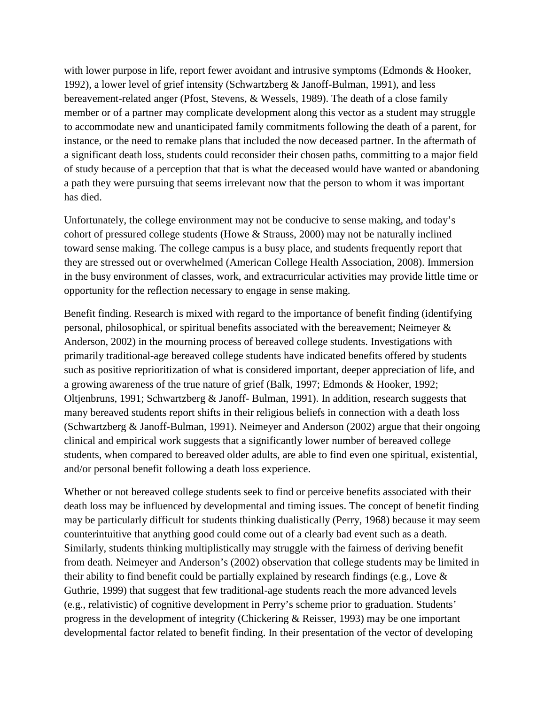with lower purpose in life, report fewer avoidant and intrusive symptoms (Edmonds & Hooker, 1992), a lower level of grief intensity (Schwartzberg & Janoff-Bulman, 1991), and less bereavement-related anger (Pfost, Stevens, & Wessels, 1989). The death of a close family member or of a partner may complicate development along this vector as a student may struggle to accommodate new and unanticipated family commitments following the death of a parent, for instance, or the need to remake plans that included the now deceased partner. In the aftermath of a significant death loss, students could reconsider their chosen paths, committing to a major field of study because of a perception that that is what the deceased would have wanted or abandoning a path they were pursuing that seems irrelevant now that the person to whom it was important has died.

Unfortunately, the college environment may not be conducive to sense making, and today's cohort of pressured college students (Howe & Strauss, 2000) may not be naturally inclined toward sense making. The college campus is a busy place, and students frequently report that they are stressed out or overwhelmed (American College Health Association, 2008). Immersion in the busy environment of classes, work, and extracurricular activities may provide little time or opportunity for the reflection necessary to engage in sense making.

Benefit finding. Research is mixed with regard to the importance of benefit finding (identifying personal, philosophical, or spiritual benefits associated with the bereavement; Neimeyer & Anderson, 2002) in the mourning process of bereaved college students. Investigations with primarily traditional-age bereaved college students have indicated benefits offered by students such as positive reprioritization of what is considered important, deeper appreciation of life, and a growing awareness of the true nature of grief (Balk, 1997; Edmonds & Hooker, 1992; Oltjenbruns, 1991; Schwartzberg & Janoff- Bulman, 1991). In addition, research suggests that many bereaved students report shifts in their religious beliefs in connection with a death loss (Schwartzberg & Janoff-Bulman, 1991). Neimeyer and Anderson (2002) argue that their ongoing clinical and empirical work suggests that a significantly lower number of bereaved college students, when compared to bereaved older adults, are able to find even one spiritual, existential, and/or personal benefit following a death loss experience.

Whether or not bereaved college students seek to find or perceive benefits associated with their death loss may be influenced by developmental and timing issues. The concept of benefit finding may be particularly difficult for students thinking dualistically (Perry, 1968) because it may seem counterintuitive that anything good could come out of a clearly bad event such as a death. Similarly, students thinking multiplistically may struggle with the fairness of deriving benefit from death. Neimeyer and Anderson's (2002) observation that college students may be limited in their ability to find benefit could be partially explained by research findings (e.g., Love & Guthrie, 1999) that suggest that few traditional-age students reach the more advanced levels (e.g., relativistic) of cognitive development in Perry's scheme prior to graduation. Students' progress in the development of integrity (Chickering & Reisser, 1993) may be one important developmental factor related to benefit finding. In their presentation of the vector of developing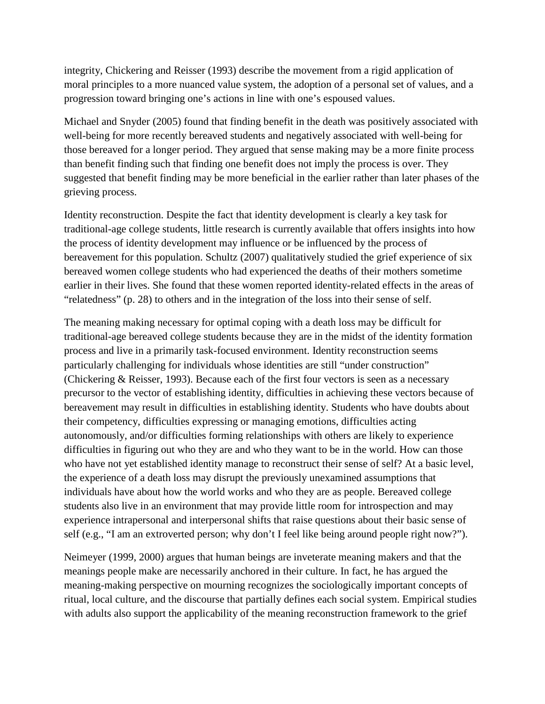integrity, Chickering and Reisser (1993) describe the movement from a rigid application of moral principles to a more nuanced value system, the adoption of a personal set of values, and a progression toward bringing one's actions in line with one's espoused values.

Michael and Snyder (2005) found that finding benefit in the death was positively associated with well-being for more recently bereaved students and negatively associated with well-being for those bereaved for a longer period. They argued that sense making may be a more finite process than benefit finding such that finding one benefit does not imply the process is over. They suggested that benefit finding may be more beneficial in the earlier rather than later phases of the grieving process.

Identity reconstruction. Despite the fact that identity development is clearly a key task for traditional-age college students, little research is currently available that offers insights into how the process of identity development may influence or be influenced by the process of bereavement for this population. Schultz (2007) qualitatively studied the grief experience of six bereaved women college students who had experienced the deaths of their mothers sometime earlier in their lives. She found that these women reported identity-related effects in the areas of "relatedness" (p. 28) to others and in the integration of the loss into their sense of self.

The meaning making necessary for optimal coping with a death loss may be difficult for traditional-age bereaved college students because they are in the midst of the identity formation process and live in a primarily task-focused environment. Identity reconstruction seems particularly challenging for individuals whose identities are still "under construction" (Chickering & Reisser, 1993). Because each of the first four vectors is seen as a necessary precursor to the vector of establishing identity, difficulties in achieving these vectors because of bereavement may result in difficulties in establishing identity. Students who have doubts about their competency, difficulties expressing or managing emotions, difficulties acting autonomously, and/or difficulties forming relationships with others are likely to experience difficulties in figuring out who they are and who they want to be in the world. How can those who have not yet established identity manage to reconstruct their sense of self? At a basic level, the experience of a death loss may disrupt the previously unexamined assumptions that individuals have about how the world works and who they are as people. Bereaved college students also live in an environment that may provide little room for introspection and may experience intrapersonal and interpersonal shifts that raise questions about their basic sense of self (e.g., "I am an extroverted person; why don't I feel like being around people right now?").

Neimeyer (1999, 2000) argues that human beings are inveterate meaning makers and that the meanings people make are necessarily anchored in their culture. In fact, he has argued the meaning-making perspective on mourning recognizes the sociologically important concepts of ritual, local culture, and the discourse that partially defines each social system. Empirical studies with adults also support the applicability of the meaning reconstruction framework to the grief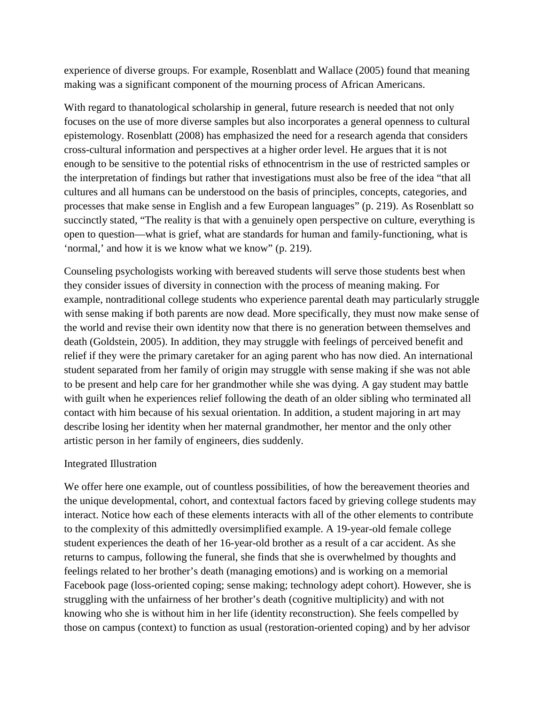experience of diverse groups. For example, Rosenblatt and Wallace (2005) found that meaning making was a significant component of the mourning process of African Americans.

With regard to thanatological scholarship in general, future research is needed that not only focuses on the use of more diverse samples but also incorporates a general openness to cultural epistemology. Rosenblatt (2008) has emphasized the need for a research agenda that considers cross-cultural information and perspectives at a higher order level. He argues that it is not enough to be sensitive to the potential risks of ethnocentrism in the use of restricted samples or the interpretation of findings but rather that investigations must also be free of the idea "that all cultures and all humans can be understood on the basis of principles, concepts, categories, and processes that make sense in English and a few European languages" (p. 219). As Rosenblatt so succinctly stated, "The reality is that with a genuinely open perspective on culture, everything is open to question—what is grief, what are standards for human and family-functioning, what is 'normal,' and how it is we know what we know" (p. 219).

Counseling psychologists working with bereaved students will serve those students best when they consider issues of diversity in connection with the process of meaning making. For example, nontraditional college students who experience parental death may particularly struggle with sense making if both parents are now dead. More specifically, they must now make sense of the world and revise their own identity now that there is no generation between themselves and death (Goldstein, 2005). In addition, they may struggle with feelings of perceived benefit and relief if they were the primary caretaker for an aging parent who has now died. An international student separated from her family of origin may struggle with sense making if she was not able to be present and help care for her grandmother while she was dying. A gay student may battle with guilt when he experiences relief following the death of an older sibling who terminated all contact with him because of his sexual orientation. In addition, a student majoring in art may describe losing her identity when her maternal grandmother, her mentor and the only other artistic person in her family of engineers, dies suddenly.

## Integrated Illustration

We offer here one example, out of countless possibilities, of how the bereavement theories and the unique developmental, cohort, and contextual factors faced by grieving college students may interact. Notice how each of these elements interacts with all of the other elements to contribute to the complexity of this admittedly oversimplified example. A 19-year-old female college student experiences the death of her 16-year-old brother as a result of a car accident. As she returns to campus, following the funeral, she finds that she is overwhelmed by thoughts and feelings related to her brother's death (managing emotions) and is working on a memorial Facebook page (loss-oriented coping; sense making; technology adept cohort). However, she is struggling with the unfairness of her brother's death (cognitive multiplicity) and with not knowing who she is without him in her life (identity reconstruction). She feels compelled by those on campus (context) to function as usual (restoration-oriented coping) and by her advisor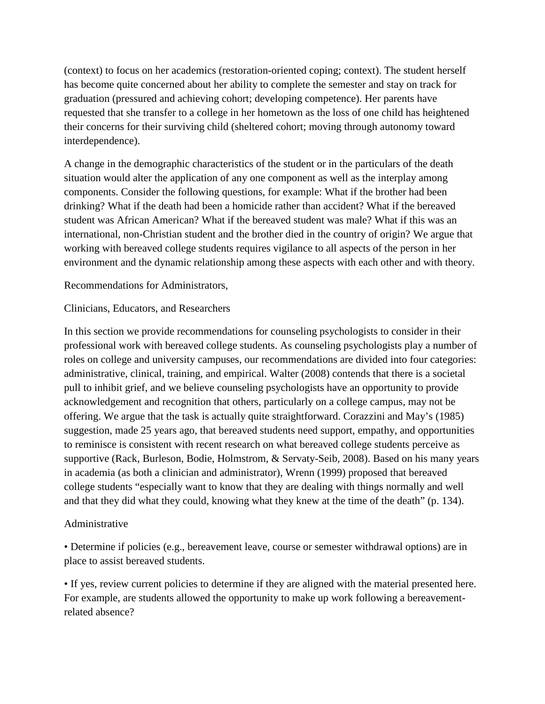(context) to focus on her academics (restoration-oriented coping; context). The student herself has become quite concerned about her ability to complete the semester and stay on track for graduation (pressured and achieving cohort; developing competence). Her parents have requested that she transfer to a college in her hometown as the loss of one child has heightened their concerns for their surviving child (sheltered cohort; moving through autonomy toward interdependence).

A change in the demographic characteristics of the student or in the particulars of the death situation would alter the application of any one component as well as the interplay among components. Consider the following questions, for example: What if the brother had been drinking? What if the death had been a homicide rather than accident? What if the bereaved student was African American? What if the bereaved student was male? What if this was an international, non-Christian student and the brother died in the country of origin? We argue that working with bereaved college students requires vigilance to all aspects of the person in her environment and the dynamic relationship among these aspects with each other and with theory.

## Recommendations for Administrators,

## Clinicians, Educators, and Researchers

In this section we provide recommendations for counseling psychologists to consider in their professional work with bereaved college students. As counseling psychologists play a number of roles on college and university campuses, our recommendations are divided into four categories: administrative, clinical, training, and empirical. Walter (2008) contends that there is a societal pull to inhibit grief, and we believe counseling psychologists have an opportunity to provide acknowledgement and recognition that others, particularly on a college campus, may not be offering. We argue that the task is actually quite straightforward. Corazzini and May's (1985) suggestion, made 25 years ago, that bereaved students need support, empathy, and opportunities to reminisce is consistent with recent research on what bereaved college students perceive as supportive (Rack, Burleson, Bodie, Holmstrom, & Servaty-Seib, 2008). Based on his many years in academia (as both a clinician and administrator), Wrenn (1999) proposed that bereaved college students "especially want to know that they are dealing with things normally and well and that they did what they could, knowing what they knew at the time of the death" (p. 134).

## Administrative

• Determine if policies (e.g., bereavement leave, course or semester withdrawal options) are in place to assist bereaved students.

• If yes, review current policies to determine if they are aligned with the material presented here. For example, are students allowed the opportunity to make up work following a bereavementrelated absence?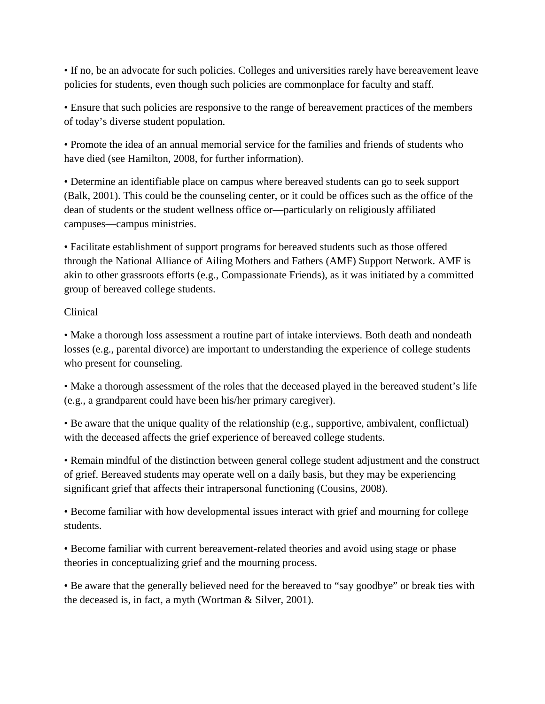• If no, be an advocate for such policies. Colleges and universities rarely have bereavement leave policies for students, even though such policies are commonplace for faculty and staff.

• Ensure that such policies are responsive to the range of bereavement practices of the members of today's diverse student population.

• Promote the idea of an annual memorial service for the families and friends of students who have died (see Hamilton, 2008, for further information).

• Determine an identifiable place on campus where bereaved students can go to seek support (Balk, 2001). This could be the counseling center, or it could be offices such as the office of the dean of students or the student wellness office or—particularly on religiously affiliated campuses—campus ministries.

• Facilitate establishment of support programs for bereaved students such as those offered through the National Alliance of Ailing Mothers and Fathers (AMF) Support Network. AMF is akin to other grassroots efforts (e.g., Compassionate Friends), as it was initiated by a committed group of bereaved college students.

## Clinical

• Make a thorough loss assessment a routine part of intake interviews. Both death and nondeath losses (e.g., parental divorce) are important to understanding the experience of college students who present for counseling.

• Make a thorough assessment of the roles that the deceased played in the bereaved student's life (e.g., a grandparent could have been his/her primary caregiver).

• Be aware that the unique quality of the relationship (e.g., supportive, ambivalent, conflictual) with the deceased affects the grief experience of bereaved college students.

• Remain mindful of the distinction between general college student adjustment and the construct of grief. Bereaved students may operate well on a daily basis, but they may be experiencing significant grief that affects their intrapersonal functioning (Cousins, 2008).

• Become familiar with how developmental issues interact with grief and mourning for college students.

• Become familiar with current bereavement-related theories and avoid using stage or phase theories in conceptualizing grief and the mourning process.

• Be aware that the generally believed need for the bereaved to "say goodbye" or break ties with the deceased is, in fact, a myth (Wortman & Silver, 2001).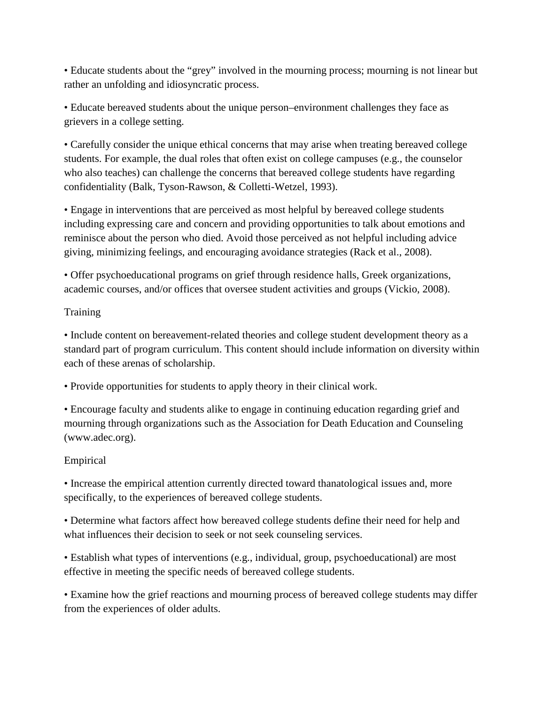• Educate students about the "grey" involved in the mourning process; mourning is not linear but rather an unfolding and idiosyncratic process.

• Educate bereaved students about the unique person–environment challenges they face as grievers in a college setting.

• Carefully consider the unique ethical concerns that may arise when treating bereaved college students. For example, the dual roles that often exist on college campuses (e.g., the counselor who also teaches) can challenge the concerns that bereaved college students have regarding confidentiality (Balk, Tyson-Rawson, & Colletti-Wetzel, 1993).

• Engage in interventions that are perceived as most helpful by bereaved college students including expressing care and concern and providing opportunities to talk about emotions and reminisce about the person who died. Avoid those perceived as not helpful including advice giving, minimizing feelings, and encouraging avoidance strategies (Rack et al., 2008).

• Offer psychoeducational programs on grief through residence halls, Greek organizations, academic courses, and/or offices that oversee student activities and groups (Vickio, 2008).

## **Training**

• Include content on bereavement-related theories and college student development theory as a standard part of program curriculum. This content should include information on diversity within each of these arenas of scholarship.

• Provide opportunities for students to apply theory in their clinical work.

• Encourage faculty and students alike to engage in continuing education regarding grief and mourning through organizations such as the Association for Death Education and Counseling (www.adec.org).

## Empirical

• Increase the empirical attention currently directed toward thanatological issues and, more specifically, to the experiences of bereaved college students.

• Determine what factors affect how bereaved college students define their need for help and what influences their decision to seek or not seek counseling services.

• Establish what types of interventions (e.g., individual, group, psychoeducational) are most effective in meeting the specific needs of bereaved college students.

• Examine how the grief reactions and mourning process of bereaved college students may differ from the experiences of older adults.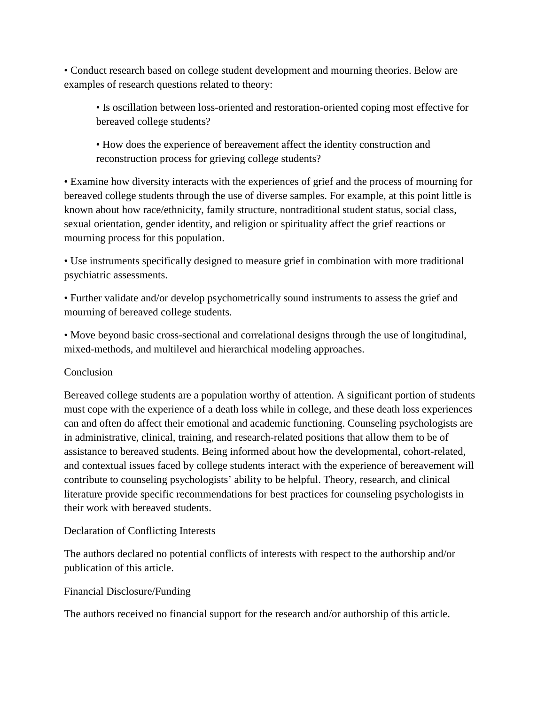• Conduct research based on college student development and mourning theories. Below are examples of research questions related to theory:

• Is oscillation between loss-oriented and restoration-oriented coping most effective for bereaved college students?

• How does the experience of bereavement affect the identity construction and reconstruction process for grieving college students?

• Examine how diversity interacts with the experiences of grief and the process of mourning for bereaved college students through the use of diverse samples. For example, at this point little is known about how race/ethnicity, family structure, nontraditional student status, social class, sexual orientation, gender identity, and religion or spirituality affect the grief reactions or mourning process for this population.

• Use instruments specifically designed to measure grief in combination with more traditional psychiatric assessments.

• Further validate and/or develop psychometrically sound instruments to assess the grief and mourning of bereaved college students.

• Move beyond basic cross-sectional and correlational designs through the use of longitudinal, mixed-methods, and multilevel and hierarchical modeling approaches.

# Conclusion

Bereaved college students are a population worthy of attention. A significant portion of students must cope with the experience of a death loss while in college, and these death loss experiences can and often do affect their emotional and academic functioning. Counseling psychologists are in administrative, clinical, training, and research-related positions that allow them to be of assistance to bereaved students. Being informed about how the developmental, cohort-related, and contextual issues faced by college students interact with the experience of bereavement will contribute to counseling psychologists' ability to be helpful. Theory, research, and clinical literature provide specific recommendations for best practices for counseling psychologists in their work with bereaved students.

## Declaration of Conflicting Interests

The authors declared no potential conflicts of interests with respect to the authorship and/or publication of this article.

## Financial Disclosure/Funding

The authors received no financial support for the research and/or authorship of this article.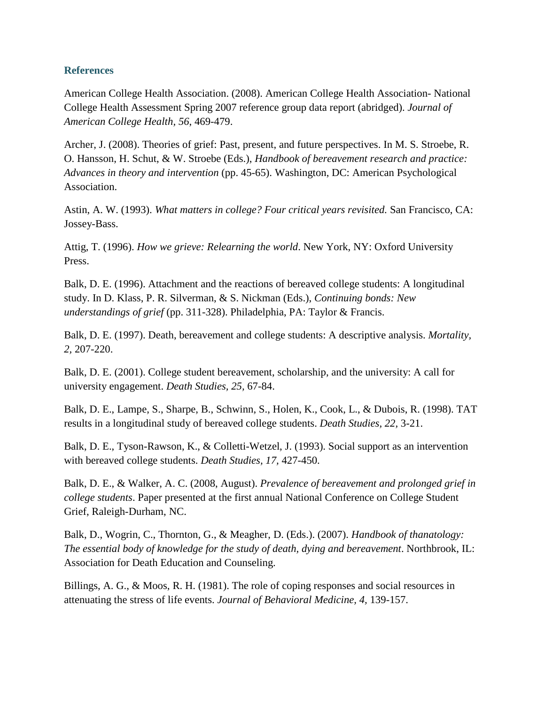## **References**

American College Health Association. (2008). American College Health Association- National College Health Assessment Spring 2007 reference group data report (abridged). *Journal of American College Health, 56*, 469-479.

Archer, J. (2008). Theories of grief: Past, present, and future perspectives. In M. S. Stroebe, R. O. Hansson, H. Schut, & W. Stroebe (Eds.), *Handbook of bereavement research and practice: Advances in theory and intervention* (pp. 45-65). Washington, DC: American Psychological Association.

Astin, A. W. (1993). *What matters in college? Four critical years revisited.* San Francisco, CA: Jossey-Bass.

Attig, T. (1996). *How we grieve: Relearning the world*. New York, NY: Oxford University Press.

Balk, D. E. (1996). Attachment and the reactions of bereaved college students: A longitudinal study. In D. Klass, P. R. Silverman, & S. Nickman (Eds.), *Continuing bonds: New understandings of grief* (pp. 311-328). Philadelphia, PA: Taylor & Francis.

Balk, D. E. (1997). Death, bereavement and college students: A descriptive analysis. *Mortality, 2,* 207-220.

Balk, D. E. (2001). College student bereavement, scholarship, and the university: A call for university engagement. *Death Studies, 25,* 67-84.

Balk, D. E., Lampe, S., Sharpe, B., Schwinn, S., Holen, K., Cook, L., & Dubois, R. (1998). TAT results in a longitudinal study of bereaved college students. *Death Studies, 22,* 3-21.

Balk, D. E., Tyson-Rawson, K., & Colletti-Wetzel, J. (1993). Social support as an intervention with bereaved college students. *Death Studies, 17,* 427-450.

Balk, D. E., & Walker, A. C. (2008, August). *Prevalence of bereavement and prolonged grief in college students*. Paper presented at the first annual National Conference on College Student Grief, Raleigh-Durham, NC.

Balk, D., Wogrin, C., Thornton, G., & Meagher, D. (Eds.). (2007). *Handbook of thanatology: The essential body of knowledge for the study of death, dying and bereavement*. Northbrook, IL: Association for Death Education and Counseling.

Billings, A. G., & Moos, R. H. (1981). The role of coping responses and social resources in attenuating the stress of life events. *Journal of Behavioral Medicine, 4,* 139-157.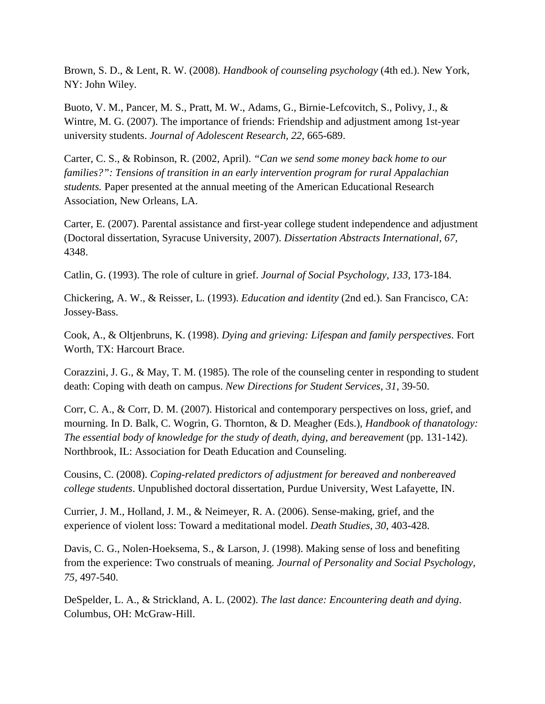Brown, S. D., & Lent, R. W. (2008). *Handbook of counseling psychology* (4th ed.). New York, NY: John Wiley.

Buoto, V. M., Pancer, M. S., Pratt, M. W., Adams, G., Birnie-Lefcovitch, S., Polivy, J., & Wintre, M. G. (2007). The importance of friends: Friendship and adjustment among 1st-year university students. *Journal of Adolescent Research, 22,* 665-689.

Carter, C. S., & Robinson, R. (2002, April). *"Can we send some money back home to our families?": Tensions of transition in an early intervention program for rural Appalachian students.* Paper presented at the annual meeting of the American Educational Research Association, New Orleans, LA.

Carter, E. (2007). Parental assistance and first-year college student independence and adjustment (Doctoral dissertation, Syracuse University, 2007). *Dissertation Abstracts International, 67,*  4348.

Catlin, G. (1993). The role of culture in grief. *Journal of Social Psychology, 133,* 173-184.

Chickering, A. W., & Reisser, L. (1993). *Education and identity* (2nd ed.). San Francisco, CA: Jossey-Bass.

Cook, A., & Oltjenbruns, K. (1998). *Dying and grieving: Lifespan and family perspectives*. Fort Worth, TX: Harcourt Brace.

Corazzini, J. G., & May, T. M. (1985). The role of the counseling center in responding to student death: Coping with death on campus. *New Directions for Student Services*, *31*, 39-50.

Corr, C. A., & Corr, D. M. (2007). Historical and contemporary perspectives on loss, grief, and mourning. In D. Balk, C. Wogrin, G. Thornton, & D. Meagher (Eds.), *Handbook of thanatology: The essential body of knowledge for the study of death, dying, and bereavement* (pp. 131-142). Northbrook, IL: Association for Death Education and Counseling.

Cousins, C. (2008). *Coping-related predictors of adjustment for bereaved and nonbereaved college students*. Unpublished doctoral dissertation, Purdue University, West Lafayette, IN.

Currier, J. M., Holland, J. M., & Neimeyer, R. A. (2006). Sense-making, grief, and the experience of violent loss: Toward a meditational model. *Death Studies*, *30*, 403-428.

Davis, C. G., Nolen-Hoeksema, S., & Larson, J. (1998). Making sense of loss and benefiting from the experience: Two construals of meaning. *Journal of Personality and Social Psychology, 75,* 497-540.

DeSpelder, L. A., & Strickland, A. L. (2002). *The last dance: Encountering death and dying*. Columbus, OH: McGraw-Hill.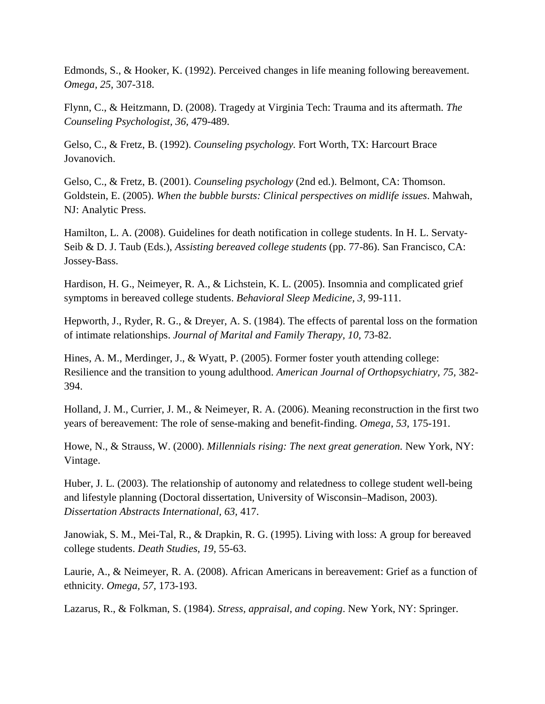Edmonds, S., & Hooker, K. (1992). Perceived changes in life meaning following bereavement. *Omega, 25,* 307-318.

Flynn, C., & Heitzmann, D. (2008). Tragedy at Virginia Tech: Trauma and its aftermath. *The Counseling Psychologist, 36,* 479-489.

Gelso, C., & Fretz, B. (1992). *Counseling psychology.* Fort Worth, TX: Harcourt Brace Jovanovich.

Gelso, C., & Fretz, B. (2001). *Counseling psychology* (2nd ed.). Belmont, CA: Thomson. Goldstein, E. (2005). *When the bubble bursts: Clinical perspectives on midlife issues*. Mahwah, NJ: Analytic Press.

Hamilton, L. A. (2008). Guidelines for death notification in college students. In H. L. Servaty-Seib & D. J. Taub (Eds.), *Assisting bereaved college students* (pp. 77-86). San Francisco, CA: Jossey-Bass.

Hardison, H. G., Neimeyer, R. A., & Lichstein, K. L. (2005). Insomnia and complicated grief symptoms in bereaved college students. *Behavioral Sleep Medicine, 3,* 99-111.

Hepworth, J., Ryder, R. G., & Dreyer, A. S. (1984). The effects of parental loss on the formation of intimate relationships. *Journal of Marital and Family Therapy, 10,* 73-82.

Hines, A. M., Merdinger, J., & Wyatt, P. (2005). Former foster youth attending college: Resilience and the transition to young adulthood. *American Journal of Orthopsychiatry, 75,* 382- 394.

Holland, J. M., Currier, J. M., & Neimeyer, R. A. (2006). Meaning reconstruction in the first two years of bereavement: The role of sense-making and benefit-finding. *Omega, 53,* 175-191.

Howe, N., & Strauss, W. (2000). *Millennials rising: The next great generation.* New York, NY: Vintage.

Huber, J. L. (2003). The relationship of autonomy and relatedness to college student well-being and lifestyle planning (Doctoral dissertation, University of Wisconsin–Madison, 2003). *Dissertation Abstracts International, 63,* 417.

Janowiak, S. M., Mei-Tal, R., & Drapkin, R. G. (1995). Living with loss: A group for bereaved college students. *Death Studies*, *19,* 55-63.

Laurie, A., & Neimeyer, R. A. (2008). African Americans in bereavement: Grief as a function of ethnicity. *Omega, 57,* 173-193.

Lazarus, R., & Folkman, S. (1984). *Stress, appraisal, and coping*. New York, NY: Springer.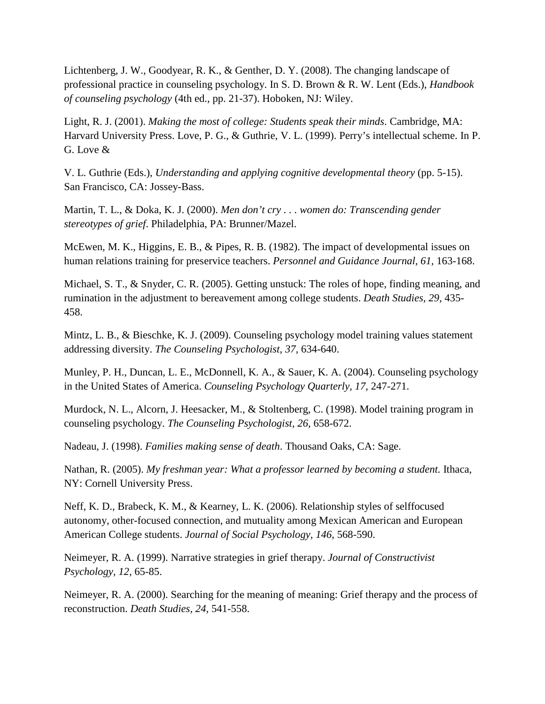Lichtenberg, J. W., Goodyear, R. K., & Genther, D. Y. (2008). The changing landscape of professional practice in counseling psychology. In S. D. Brown & R. W. Lent (Eds.), *Handbook of counseling psychology* (4th ed., pp. 21-37). Hoboken, NJ: Wiley.

Light, R. J. (2001). *Making the most of college: Students speak their minds*. Cambridge, MA: Harvard University Press. Love, P. G., & Guthrie, V. L. (1999). Perry's intellectual scheme. In P. G. Love &

V. L. Guthrie (Eds.), *Understanding and applying cognitive developmental theory* (pp. 5-15). San Francisco, CA: Jossey-Bass.

Martin, T. L., & Doka, K. J. (2000). *Men don't cry . . . women do: Transcending gender stereotypes of grief*. Philadelphia, PA: Brunner/Mazel.

McEwen, M. K., Higgins, E. B., & Pipes, R. B. (1982). The impact of developmental issues on human relations training for preservice teachers. *Personnel and Guidance Journal, 61,* 163-168.

Michael, S. T., & Snyder, C. R. (2005). Getting unstuck: The roles of hope, finding meaning, and rumination in the adjustment to bereavement among college students. *Death Studies, 29,* 435- 458.

Mintz, L. B., & Bieschke, K. J. (2009). Counseling psychology model training values statement addressing diversity. *The Counseling Psychologist, 37,* 634-640.

Munley, P. H., Duncan, L. E., McDonnell, K. A., & Sauer, K. A. (2004). Counseling psychology in the United States of America. *Counseling Psychology Quarterly, 17,* 247-271.

Murdock, N. L., Alcorn, J. Heesacker, M., & Stoltenberg, C. (1998). Model training program in counseling psychology. *The Counseling Psychologist, 26*, 658-672.

Nadeau, J. (1998). *Families making sense of death*. Thousand Oaks, CA: Sage.

Nathan, R. (2005). *My freshman year: What a professor learned by becoming a student.* Ithaca, NY: Cornell University Press.

Neff, K. D., Brabeck, K. M., & Kearney, L. K. (2006). Relationship styles of selffocused autonomy, other-focused connection, and mutuality among Mexican American and European American College students. *Journal of Social Psychology, 146,* 568-590.

Neimeyer, R. A. (1999). Narrative strategies in grief therapy. *Journal of Constructivist Psychology, 12,* 65-85.

Neimeyer, R. A. (2000). Searching for the meaning of meaning: Grief therapy and the process of reconstruction. *Death Studies, 24,* 541-558.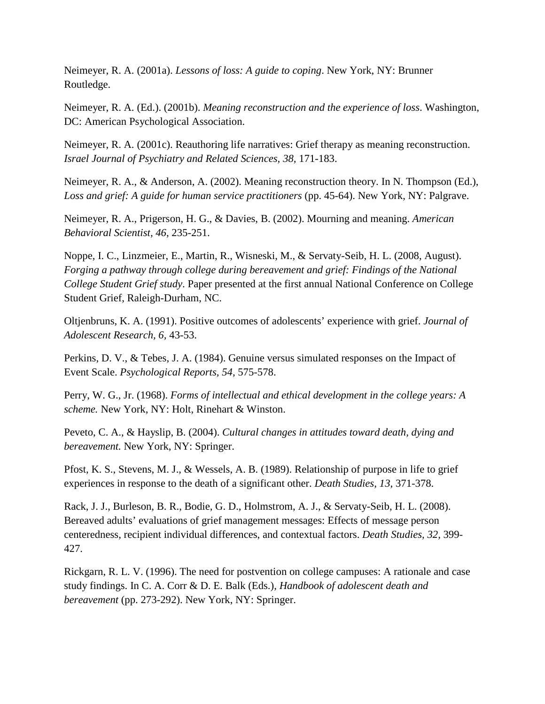Neimeyer, R. A. (2001a). *Lessons of loss: A guide to coping*. New York, NY: Brunner Routledge.

Neimeyer, R. A. (Ed.). (2001b). *Meaning reconstruction and the experience of loss*. Washington, DC: American Psychological Association.

Neimeyer, R. A. (2001c). Reauthoring life narratives: Grief therapy as meaning reconstruction. *Israel Journal of Psychiatry and Related Sciences, 38,* 171-183.

Neimeyer, R. A., & Anderson, A. (2002). Meaning reconstruction theory. In N. Thompson (Ed.), *Loss and grief: A guide for human service practitioners* (pp. 45-64). New York, NY: Palgrave.

Neimeyer, R. A., Prigerson, H. G., & Davies, B. (2002). Mourning and meaning. *American Behavioral Scientist, 46*, 235-251.

Noppe, I. C., Linzmeier, E., Martin, R., Wisneski, M., & Servaty-Seib, H. L. (2008, August). *Forging a pathway through college during bereavement and grief: Findings of the National College Student Grief study*. Paper presented at the first annual National Conference on College Student Grief, Raleigh-Durham, NC.

Oltjenbruns, K. A. (1991). Positive outcomes of adolescents' experience with grief. *Journal of Adolescent Research, 6,* 43-53.

Perkins, D. V., & Tebes, J. A. (1984). Genuine versus simulated responses on the Impact of Event Scale. *Psychological Reports, 54,* 575-578.

Perry, W. G., Jr. (1968). *Forms of intellectual and ethical development in the college years: A scheme.* New York, NY: Holt, Rinehart & Winston.

Peveto, C. A., & Hayslip, B. (2004). *Cultural changes in attitudes toward death, dying and bereavement.* New York, NY: Springer.

Pfost, K. S., Stevens, M. J., & Wessels, A. B. (1989). Relationship of purpose in life to grief experiences in response to the death of a significant other. *Death Studies, 13,* 371-378.

Rack, J. J., Burleson, B. R., Bodie, G. D., Holmstrom, A. J., & Servaty-Seib, H. L. (2008). Bereaved adults' evaluations of grief management messages: Effects of message person centeredness, recipient individual differences, and contextual factors. *Death Studies, 32,* 399- 427.

Rickgarn, R. L. V. (1996). The need for postvention on college campuses: A rationale and case study findings. In C. A. Corr & D. E. Balk (Eds.), *Handbook of adolescent death and bereavement* (pp. 273-292). New York, NY: Springer.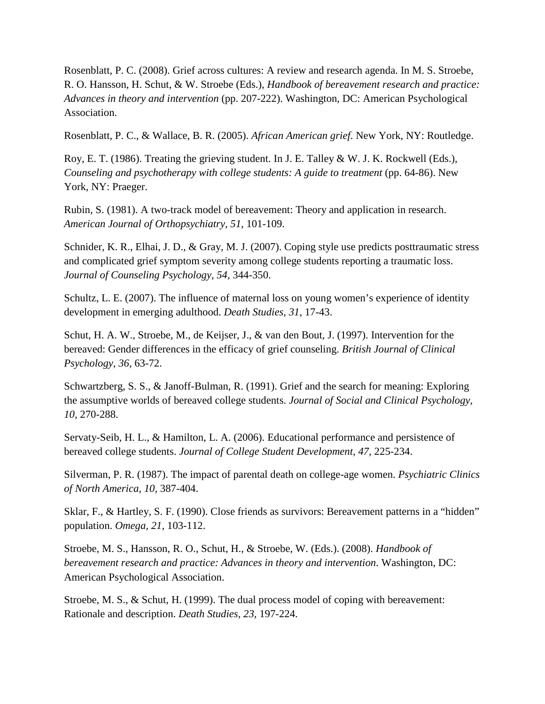Rosenblatt, P. C. (2008). Grief across cultures: A review and research agenda. In M. S. Stroebe, R. O. Hansson, H. Schut, & W. Stroebe (Eds.), *Handbook of bereavement research and practice: Advances in theory and intervention* (pp. 207-222). Washington, DC: American Psychological Association.

Rosenblatt, P. C., & Wallace, B. R. (2005). *African American grief*. New York, NY: Routledge.

Roy, E. T. (1986). Treating the grieving student. In J. E. Talley & W. J. K. Rockwell (Eds.), *Counseling and psychotherapy with college students: A guide to treatment* (pp. 64-86). New York, NY: Praeger.

Rubin, S. (1981). A two-track model of bereavement: Theory and application in research. *American Journal of Orthopsychiatry, 51,* 101-109.

Schnider, K. R., Elhai, J. D., & Gray, M. J. (2007). Coping style use predicts posttraumatic stress and complicated grief symptom severity among college students reporting a traumatic loss. *Journal of Counseling Psychology, 54,* 344-350.

Schultz, L. E. (2007). The influence of maternal loss on young women's experience of identity development in emerging adulthood. *Death Studies, 31*, 17-43.

Schut, H. A. W., Stroebe, M., de Keijser, J., & van den Bout, J. (1997). Intervention for the bereaved: Gender differences in the efficacy of grief counseling. *British Journal of Clinical Psychology, 36,* 63-72.

Schwartzberg, S. S., & Janoff-Bulman, R. (1991). Grief and the search for meaning: Exploring the assumptive worlds of bereaved college students. *Journal of Social and Clinical Psychology, 10,* 270-288.

Servaty-Seib, H. L., & Hamilton, L. A. (2006). Educational performance and persistence of bereaved college students. *Journal of College Student Development, 47,* 225-234.

Silverman, P. R. (1987). The impact of parental death on college-age women. *Psychiatric Clinics of North America, 10,* 387-404.

Sklar, F., & Hartley, S. F. (1990). Close friends as survivors: Bereavement patterns in a "hidden" population. *Omega, 21,* 103-112.

Stroebe, M. S., Hansson, R. O., Schut, H., & Stroebe, W. (Eds.). (2008). *Handbook of bereavement research and practice: Advances in theory and intervention*. Washington, DC: American Psychological Association.

Stroebe, M. S., & Schut, H. (1999). The dual process model of coping with bereavement: Rationale and description. *Death Studies, 23,* 197-224.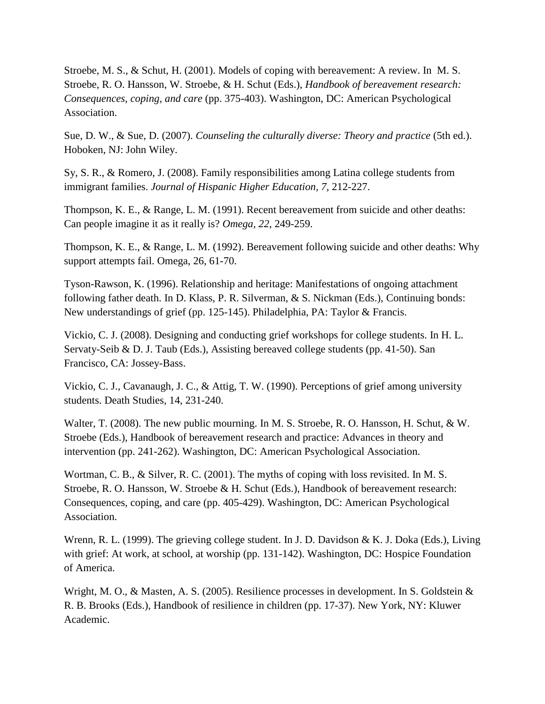Stroebe, M. S., & Schut, H. (2001). Models of coping with bereavement: A review. In M. S. Stroebe, R. O. Hansson, W. Stroebe, & H. Schut (Eds.), *Handbook of bereavement research: Consequences, coping, and care* (pp. 375-403). Washington, DC: American Psychological Association.

Sue, D. W., & Sue, D. (2007). *Counseling the culturally diverse: Theory and practice* (5th ed.). Hoboken, NJ: John Wiley.

Sy, S. R., & Romero, J. (2008). Family responsibilities among Latina college students from immigrant families. *Journal of Hispanic Higher Education, 7,* 212-227.

Thompson, K. E., & Range, L. M. (1991). Recent bereavement from suicide and other deaths: Can people imagine it as it really is? *Omega, 22,* 249-259.

Thompson, K. E., & Range, L. M. (1992). Bereavement following suicide and other deaths: Why support attempts fail. Omega, 26, 61-70.

Tyson-Rawson, K. (1996). Relationship and heritage: Manifestations of ongoing attachment following father death. In D. Klass, P. R. Silverman, & S. Nickman (Eds.), Continuing bonds: New understandings of grief (pp. 125-145). Philadelphia, PA: Taylor & Francis.

Vickio, C. J. (2008). Designing and conducting grief workshops for college students. In H. L. Servaty-Seib & D. J. Taub (Eds.), Assisting bereaved college students (pp. 41-50). San Francisco, CA: Jossey-Bass.

Vickio, C. J., Cavanaugh, J. C., & Attig, T. W. (1990). Perceptions of grief among university students. Death Studies, 14, 231-240.

Walter, T. (2008). The new public mourning. In M. S. Stroebe, R. O. Hansson, H. Schut, & W. Stroebe (Eds.), Handbook of bereavement research and practice: Advances in theory and intervention (pp. 241-262). Washington, DC: American Psychological Association.

Wortman, C. B., & Silver, R. C. (2001). The myths of coping with loss revisited. In M. S. Stroebe, R. O. Hansson, W. Stroebe & H. Schut (Eds.), Handbook of bereavement research: Consequences, coping, and care (pp. 405-429). Washington, DC: American Psychological Association.

Wrenn, R. L. (1999). The grieving college student. In J. D. Davidson & K. J. Doka (Eds.), Living with grief: At work, at school, at worship (pp. 131-142). Washington, DC: Hospice Foundation of America.

Wright, M. O., & Masten, A. S. (2005). Resilience processes in development. In S. Goldstein & R. B. Brooks (Eds.), Handbook of resilience in children (pp. 17-37). New York, NY: Kluwer Academic.